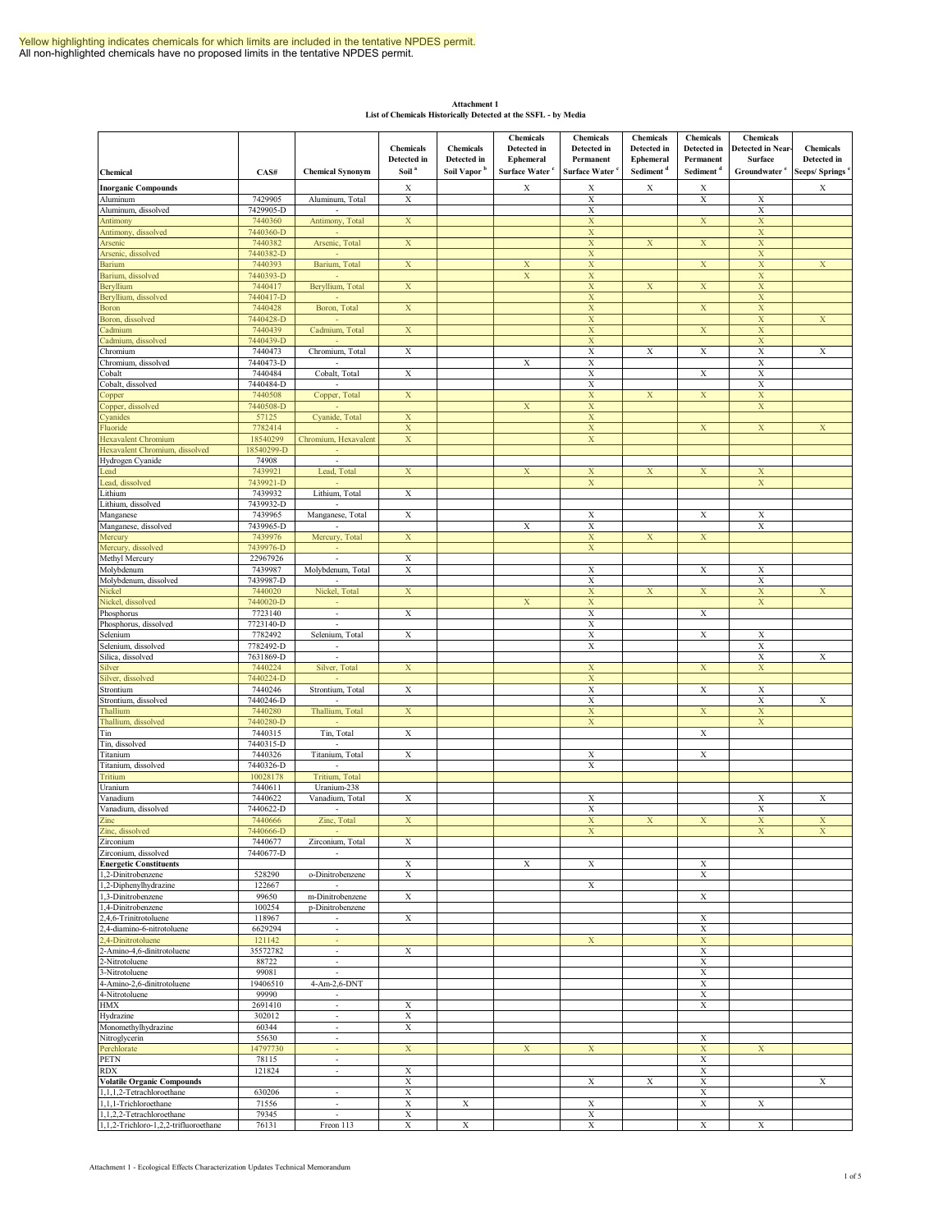**List of Chemicals Historically Detected at the SSFL - by Media Attachment 1**

|                                                     |                      |                                            |                   |                         | <b>Chemicals</b> | <b>Chemicals</b>          | <b>Chemicals</b>          | <b>Chemicals</b>               | <b>Chemicals</b>         |                  |
|-----------------------------------------------------|----------------------|--------------------------------------------|-------------------|-------------------------|------------------|---------------------------|---------------------------|--------------------------------|--------------------------|------------------|
|                                                     |                      |                                            | <b>Chemicals</b>  | <b>Chemicals</b>        | Detected in      | Detected in               | Detected in               | Detected in                    | Detected in Near-        | <b>Chemicals</b> |
|                                                     |                      |                                            | Detected in       | Detected in             | <b>Ephemeral</b> | Permanent                 | <b>Ephemeral</b>          | Permanent                      | <b>Surface</b>           | Detected in      |
| Chemical                                            | CAS#                 | <b>Chemical Synonym</b>                    | Soil <sup>'</sup> | Soil Vapor <sup>b</sup> | Surface Water    | <b>Surface Water</b>      | Sediment <sup>d</sup>     | Sediment <sup>d</sup>          | Groundwater <sup>e</sup> | Seeps/Springs    |
| <b>Inorganic Compounds</b>                          |                      |                                            | Х                 |                         |                  | Х                         | Х                         | X                              |                          | X                |
| Aluminum                                            | 7429905              | Aluminum, Total                            | Х                 |                         | X                | X                         |                           | X                              | X                        |                  |
| Aluminum, dissolved                                 | 7429905-D            |                                            |                   |                         |                  | X                         |                           |                                | X                        |                  |
| Antimony                                            | 7440360              | Antimony, Total                            | $\mathbf X$       |                         |                  | X                         |                           | X                              | X                        |                  |
| Antimony, dissolved                                 | 7440360-D            |                                            |                   |                         |                  | X                         |                           |                                | X                        |                  |
| Arsenic                                             | 7440382              | Arsenic, Total                             | $\mathbf X$       |                         |                  | $\mathbf X$               | $\boldsymbol{\mathrm{X}}$ | $\mathbf X$                    | X                        |                  |
| Arsenic, dissolved                                  | 7440382-D            |                                            |                   |                         |                  | $\mathbf X$               |                           |                                | $\mathbf X$              |                  |
| <b>Barium</b>                                       | 7440393              | Barium, Total                              | $\mathbf X$       |                         | $\mathbf X$      | X                         |                           | $\mathbf X$                    | X                        | $\mathbf X$      |
| Barium, dissolved                                   | 7440393-D            |                                            |                   |                         | $\mathbf X$      | $\mathbf X$               |                           |                                | X                        |                  |
| <b>Beryllium</b>                                    | 7440417              | Beryllium, Total                           | $\mathbf X$       |                         |                  | $\boldsymbol{\mathrm{X}}$ | X                         | X                              | X                        |                  |
| Beryllium, dissolved                                | 7440417-D            |                                            |                   |                         |                  | X                         |                           |                                | X                        |                  |
| Boron                                               | 7440428              | Boron, Total                               | $\mathbf X$       |                         |                  | $\mathbf X$               |                           | $\mathbf X$                    | X                        |                  |
| Boron, dissolved                                    | 7440428-D            |                                            |                   |                         |                  | $\mathbf X$               |                           |                                | $\mathbf X$              | X                |
| Cadmium                                             | 7440439              | Cadmium, Total                             | $\mathbf X$       |                         |                  | $\boldsymbol{\mathrm{X}}$ |                           | $\mathbf X$                    | $\mathbf X$              |                  |
| Cadmium, dissolved                                  | 7440439-D            |                                            |                   |                         |                  | $\mathbf X$               |                           |                                | $\mathbf X$              |                  |
| Chromium                                            | 7440473              | Chromium, Total                            | Х                 |                         |                  | X                         | Х                         | Х                              | X                        | X                |
| Chromium, dissolved                                 | 7440473-D            | ÷.                                         |                   |                         | X                | X                         |                           |                                | X                        |                  |
| Cobalt                                              | 7440484              | Cobalt, Total                              | X                 |                         |                  | X                         |                           | X                              | X                        |                  |
| Cobalt, dissolved                                   | 7440484-D            | $\sim$                                     |                   |                         |                  | X                         |                           |                                | X                        |                  |
| Copper                                              | 7440508              | Copper, Total                              | $\mathbf X$       |                         |                  | $\boldsymbol{\mathrm{X}}$ | X                         | $\mathbf X$                    | $\mathbf X$              |                  |
| Copper, dissolved                                   | 7440508-D            |                                            |                   |                         | $\mathbf X$      | $\mathbf X$               |                           |                                | $\mathbf X$              |                  |
| Cyanides                                            | 57125                | Cyanide, Total                             | $\mathbf X$       |                         |                  | $\mathbf X$               |                           |                                |                          |                  |
| Fluoride                                            | 7782414              |                                            | X                 |                         |                  | X                         |                           | $\mathbf X$                    | $\mathbf X$              | X                |
| <b>Hexavalent Chromium</b>                          | 18540299             | Chromium, Hexavalent                       | $\mathbf X$       |                         |                  | $\mathbf X$               |                           |                                |                          |                  |
| Hexavalent Chromium, dissolved                      | 18540299-D           |                                            |                   |                         |                  |                           |                           |                                |                          |                  |
| Hydrogen Cyanide                                    | 74908                | $\sim$                                     |                   |                         |                  |                           |                           |                                |                          |                  |
| .ead                                                | 7439921              | Lead, Total                                | $\mathbf X$       |                         | $\mathbf X$      | X                         | X                         | X                              | X                        |                  |
| .ead, dissolved                                     | 7439921-D            |                                            |                   |                         |                  | $\mathbf X$               |                           |                                | $\mathbf X$              |                  |
| Lithium                                             | 7439932              | Lithium, Total                             | X                 |                         |                  |                           |                           |                                |                          |                  |
| Lithium, dissolved                                  | 7439932-D            |                                            |                   |                         |                  |                           |                           |                                |                          |                  |
| Manganese                                           | 7439965<br>7439965-D | Manganese, Total                           | Х                 |                         |                  | Х                         |                           | Х                              | Х                        |                  |
| Manganese, dissolved                                |                      |                                            |                   |                         | X                | Х                         |                           |                                | X                        |                  |
| Mercury                                             | 7439976<br>7439976-D | Mercury, Total                             | $\mathbf X$       |                         |                  | X                         | X                         | X                              |                          |                  |
| Mercury, dissolved                                  |                      | ×                                          |                   |                         |                  | $\mathbf X$               |                           |                                |                          |                  |
| Methyl Mercury                                      | 22967926<br>7439987  |                                            | X                 |                         |                  |                           |                           | X                              |                          |                  |
| Molybdenum                                          | 7439987-D            | Molybdenum, Total<br>$\sim$                | X                 |                         |                  | X<br>X                    |                           |                                | X<br>X                   |                  |
| Molybdenum, dissolved<br>Nickel                     | 7440020              | Nickel, Total                              | $\mathbf X$       |                         |                  | X                         | X                         | X                              | X                        | $\mathbf X$      |
| Vickel, dissolved                                   | 7440020-D            |                                            |                   |                         | $\mathbf X$      | $\mathbf X$               |                           |                                | X                        |                  |
| Phosphorus                                          | 7723140              | $\overline{\phantom{a}}$                   | X                 |                         |                  | X                         |                           | X                              |                          |                  |
| Phosphorus, dissolved                               | 7723140-D            | ÷                                          |                   |                         |                  | X                         |                           |                                |                          |                  |
| Selenium                                            | 7782492              | Selenium, Total                            | $\mathbf X$       |                         |                  | X                         |                           | X                              | X                        |                  |
| Selenium, dissolved                                 | 7782492-D            | $\overline{\phantom{a}}$                   |                   |                         |                  | X                         |                           |                                | X                        |                  |
| Silica, dissolved                                   | 7631869-D            | ×                                          |                   |                         |                  |                           |                           |                                | X                        | X                |
| Silver                                              | 7440224              | Silver, Total                              | $\mathbf X$       |                         |                  | X                         |                           | X                              | X                        |                  |
| Silver, dissolved                                   | 7440224-D            |                                            |                   |                         |                  | $\mathbf X$               |                           |                                |                          |                  |
| Strontium                                           | 7440246              | Strontium, Total                           | X                 |                         |                  | X                         |                           | Х                              | X                        |                  |
| Strontium, dissolved                                | 7440246-D            |                                            |                   |                         |                  | $\mathbf X$               |                           |                                | X                        | X                |
| Thallium                                            | 7440280              | Thallium, Total                            | $\mathbf X$       |                         |                  | X                         |                           | X                              | X                        |                  |
| Thallium, dissolved                                 | 7440280-D            |                                            |                   |                         |                  | X                         |                           |                                | X                        |                  |
| Гin                                                 | 7440315              | Tin, Total                                 | X                 |                         |                  |                           |                           | $\mathbf X$                    |                          |                  |
| Tin, dissolved                                      | 7440315-D            | $\overline{\phantom{a}}$                   |                   |                         |                  |                           |                           |                                |                          |                  |
| Titanium                                            | 7440326              | Titanium, Total                            | X                 |                         |                  | Х                         |                           | X                              |                          |                  |
| Titanium, dissolved                                 | 7440326-D            | $\sim$                                     |                   |                         |                  | $\mathbf X$               |                           |                                |                          |                  |
| Tritium                                             | 10028178             | Tritium, Total                             |                   |                         |                  |                           |                           |                                |                          |                  |
| Uranium                                             | 7440611              | Uranium-238                                |                   |                         |                  |                           |                           |                                |                          |                  |
| Vanadium                                            | 7440622              | Vanadium, Total                            | X                 |                         |                  | X                         |                           |                                | X                        | X                |
| Vanadium, dissolved                                 | 7440622-D            | $\overline{\phantom{a}}$                   |                   |                         |                  | X                         |                           |                                | Х                        |                  |
| Zinc                                                | 7440666              | Zinc, Total                                | X                 |                         |                  | X                         | X                         | Х                              | X                        | X                |
| Zinc, dissolved                                     | 7440666-D            |                                            |                   |                         |                  | X                         |                           |                                | $\mathbf X$              | X                |
| Zirconium                                           | 7440677              | Zirconium, Total                           | X                 |                         |                  |                           |                           |                                |                          |                  |
| Zirconium, dissolved                                | 7440677-D            | ÷.                                         |                   |                         |                  |                           |                           |                                |                          |                  |
| <b>Energetic Constituents</b>                       |                      |                                            | X                 |                         | $\mathbf X$      | $\mathbf X$               |                           | $\mathbf X$                    |                          |                  |
| 1,2-Dinitrobenzene                                  | 528290               | o-Dinitrobenzene                           | X                 |                         |                  |                           |                           | $\mathbf X$                    |                          |                  |
| 1,2-Diphenylhydrazine                               | 122667               |                                            |                   |                         |                  | X                         |                           |                                |                          |                  |
| 1,3-Dinitrobenzene<br>1,4-Dinitrobenzene            | 99650<br>100254      | m-Dinitrobenzene<br>p-Dinitrobenzene       | X                 |                         |                  |                           |                           | $\mathbf X$                    |                          |                  |
|                                                     |                      | $\sim$                                     |                   |                         |                  |                           |                           |                                |                          |                  |
| 2,4,6-Trinitrotoluene<br>2,4-diamino-6-nitrotoluene | 118967<br>6629294    | $\overline{\phantom{a}}$                   | X                 |                         |                  |                           |                           | X<br>$\boldsymbol{\mathrm{X}}$ |                          |                  |
|                                                     | 121142               |                                            |                   |                         |                  |                           |                           |                                |                          |                  |
| 2,4-Dinitrotoluene<br>2-Amino-4,6-dinitrotoluene    | 35572782             | $\blacksquare$<br>$\overline{\phantom{a}}$ | X                 |                         |                  | $\mathbf X$               |                           | X<br>X                         |                          |                  |
| 2-Nitrotoluene                                      | 88722                | $\sim$                                     |                   |                         |                  |                           |                           | $\boldsymbol{\mathrm{X}}$      |                          |                  |
| 3-Nitrotoluene                                      | 99081                | $\overline{\phantom{a}}$                   |                   |                         |                  |                           |                           | X                              |                          |                  |
| 4-Amino-2,6-dinitrotoluene                          | 19406510             | 4-Am-2,6-DNT                               |                   |                         |                  |                           |                           | $\mathbf X$                    |                          |                  |
| 4-Nitrotoluene                                      | 99990                | $\overline{\phantom{a}}$                   |                   |                         |                  |                           |                           | $\boldsymbol{\mathrm{X}}$      |                          |                  |
| <b>HMX</b>                                          | 2691410              | $\overline{\phantom{a}}$                   | Х                 |                         |                  |                           |                           | $\mathbf X$                    |                          |                  |
| Hydrazine                                           | 302012               | $\overline{\phantom{a}}$                   | X                 |                         |                  |                           |                           |                                |                          |                  |
| Monomethylhydrazine                                 | 60344                | $\sim$                                     | X                 |                         |                  |                           |                           |                                |                          |                  |
| Nitroglycerin                                       | 55630                | $\overline{\phantom{a}}$                   |                   |                         |                  |                           |                           | X                              |                          |                  |
| Perchlorate                                         | 14797730             | $\omega$                                   | $\mathbf X$       |                         | $\mathbf X$      | $\mathbf{X}$              |                           | $\mathbf X$                    | $\mathbf X$              |                  |
| PETN                                                | 78115                | $\sim$                                     |                   |                         |                  |                           |                           | $\mathbf X$                    |                          |                  |
| <b>RDX</b>                                          | 121824               | $\overline{\phantom{a}}$                   | X                 |                         |                  |                           |                           | X                              |                          |                  |
| <b>Volatile Organic Compounds</b>                   |                      |                                            | X                 |                         |                  | X                         | X                         | X                              |                          | X                |
| 1,1,1,2-Tetrachloroethane                           | 630206               | $\sim$                                     | X                 |                         |                  |                           |                           | $\mathbf X$                    |                          |                  |
| 1,1,1-Trichloroethane                               | 71556                | $\overline{\phantom{a}}$                   | X                 | X                       |                  | X                         |                           | X                              | X                        |                  |
| 1,1,2,2-Tetrachloroethane                           | 79345                | $\sim$                                     | Х                 |                         |                  | X                         |                           |                                |                          |                  |
| 1,1,2-Trichloro-1,2,2-trifluoroethane               | 76131                | Freon 113                                  | X                 | X                       |                  | X                         |                           | X                              | X                        |                  |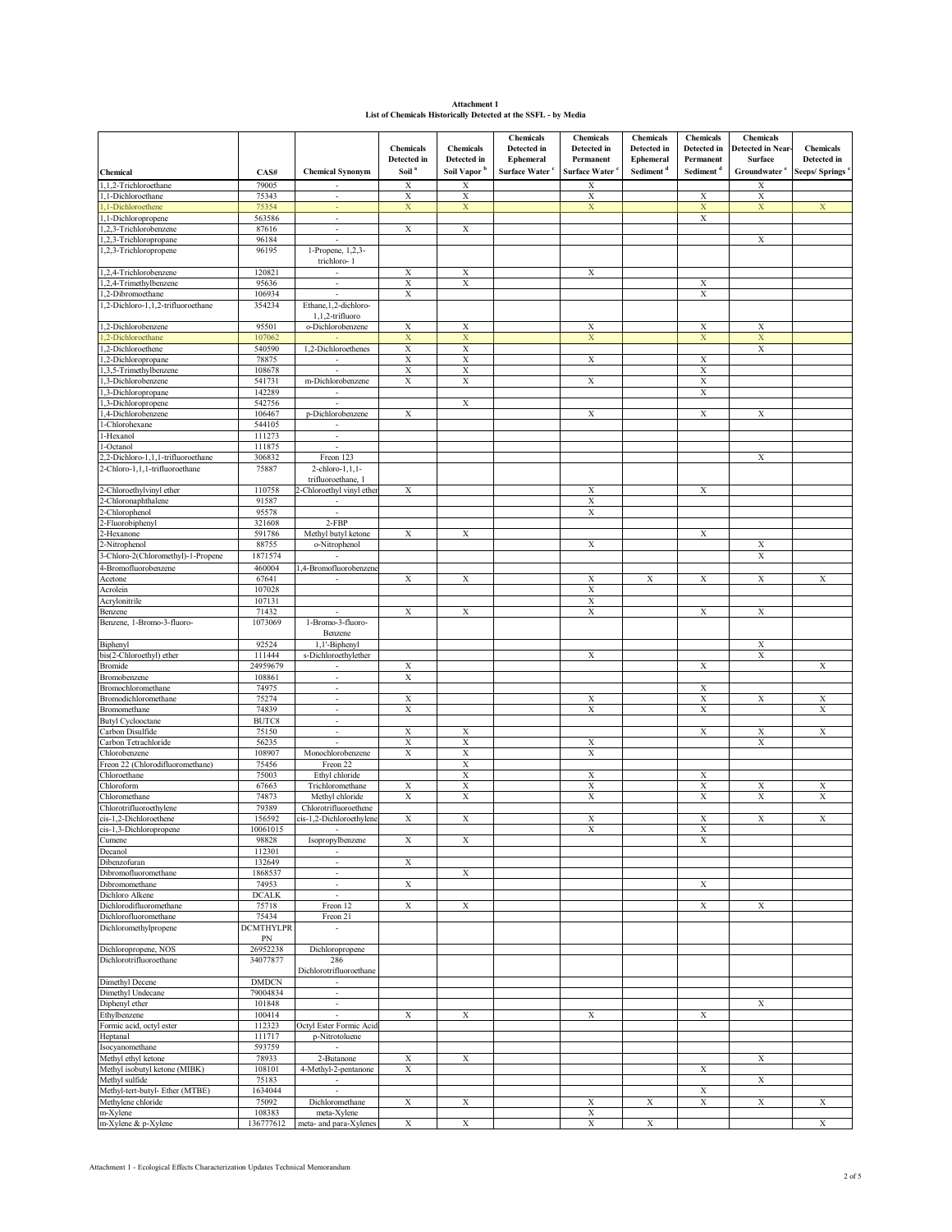| <b>Attachment 1</b>                                            |  |  |  |  |  |  |  |  |
|----------------------------------------------------------------|--|--|--|--|--|--|--|--|
| List of Chemicals Historically Detected at the SSFL - by Media |  |  |  |  |  |  |  |  |

|                                               |                  |                                                         |                   |                         | Chemicals        | <b>Chemicals</b>          | <b>Chemicals</b>      | Chemicals                              | Chemicals                |                      |
|-----------------------------------------------|------------------|---------------------------------------------------------|-------------------|-------------------------|------------------|---------------------------|-----------------------|----------------------------------------|--------------------------|----------------------|
|                                               |                  |                                                         | <b>Chemicals</b>  | Chemicals               | Detected in      | Detected in               | Detected in           | Detected in                            | Detected in Near-        | <b>Chemicals</b>     |
|                                               |                  |                                                         | Detected in       | Detected in             | <b>Ephemeral</b> | Permanent                 | <b>Ephemeral</b>      | Permanent                              | <b>Surface</b>           | Detected in          |
| Chemical                                      | CAS#             | <b>Chemical Synonym</b>                                 | Soil <sup>a</sup> | Soil Vapor <sup>b</sup> | Surface Water    | <b>Surface Water</b>      | Sediment <sup>d</sup> | Sediment <sup>d</sup>                  | Groundwater <sup>e</sup> | <b>Seeps/Springs</b> |
|                                               |                  |                                                         |                   |                         |                  |                           |                       |                                        |                          |                      |
| 1,1,2-Trichloroethane                         | 79005            | $\sim$                                                  | X                 | X                       |                  | X                         |                       |                                        | X                        |                      |
| 1,1-Dichloroethane                            | 75343            | $\overline{\phantom{a}}$<br>ä,                          | X                 | X                       |                  | Х                         |                       | Х                                      | X                        | $\mathbf X$          |
| 1,1-Dichloroethene                            | 75354<br>563586  |                                                         | X                 | $\mathbf X$             |                  | $\boldsymbol{\mathrm{X}}$ |                       | $\mathbf X$<br>$\overline{\mathbf{X}}$ | X                        |                      |
| 1,1-Dichloropropene<br>1,2,3-Trichlorobenzene | 87616            | $\overline{\phantom{a}}$<br>$\blacksquare$              | X                 | $\mathbf X$             |                  |                           |                       |                                        |                          |                      |
| 1,2,3-Trichloropropane                        | 96184            |                                                         |                   |                         |                  |                           |                       |                                        | X                        |                      |
|                                               |                  |                                                         |                   |                         |                  |                           |                       |                                        |                          |                      |
| 1,2,3-Trichloropropene                        | 96195            | 1-Propene, 1,2,3-                                       |                   |                         |                  |                           |                       |                                        |                          |                      |
|                                               |                  | trichloro-1                                             |                   |                         |                  |                           |                       |                                        |                          |                      |
| 1,2,4-Trichlorobenzene                        | 120821           |                                                         | X                 | X                       |                  | X                         |                       |                                        |                          |                      |
| 1,2,4-Trimethylbenzene<br>1,2-Dibromoethane   | 95636<br>106934  | $\overline{\phantom{a}}$<br>$\mathcal{L}_{\mathcal{A}}$ | $\mathbf X$<br>Х  | X                       |                  |                           |                       | X<br>X                                 |                          |                      |
| 1,2-Dichloro-1,1,2-trifluoroethane            | 354234           | Ethane, 1, 2-dichloro-                                  |                   |                         |                  |                           |                       |                                        |                          |                      |
|                                               |                  |                                                         |                   |                         |                  |                           |                       |                                        |                          |                      |
|                                               |                  | 1,1,2-trifluoro                                         |                   |                         |                  |                           |                       |                                        |                          |                      |
| 1,2-Dichlorobenzene                           | 95501            | o-Dichlorobenzene                                       | X                 | X                       |                  | Х                         |                       | X                                      | Х                        |                      |
| 1,2-Dichloroethane                            | 107062           |                                                         | X                 | X                       |                  | $\mathbf X$               |                       | X                                      | $\mathbf X$              |                      |
| 1,2-Dichloroethene                            | 540590           | 1,2-Dichloroethenes                                     | X                 | X                       |                  |                           |                       |                                        | X                        |                      |
| 1,2-Dichloropropane                           | 78875            |                                                         | X                 | X                       |                  | X                         |                       | X                                      |                          |                      |
| 1,3,5-Trimethylbenzene                        | 108678           |                                                         | X                 | X                       |                  |                           |                       | X                                      |                          |                      |
| 1,3-Dichlorobenzene                           | 541731           | m-Dichlorobenzene                                       | X                 | X                       |                  | Х                         |                       | X                                      |                          |                      |
| 1,3-Dichloropropane                           | 142289           |                                                         |                   |                         |                  |                           |                       | Х                                      |                          |                      |
| 1,3-Dichloropropene                           | 542756           |                                                         |                   | X                       |                  |                           |                       |                                        |                          |                      |
| 1,4-Dichlorobenzene                           | 106467           | p-Dichlorobenzene                                       | Х                 |                         |                  | Х                         |                       | X                                      | X                        |                      |
| 1-Chlorohexane                                | 544105           | $\sim$                                                  |                   |                         |                  |                           |                       |                                        |                          |                      |
| 1-Hexanol                                     | 111273           | $\overline{\phantom{a}}$                                |                   |                         |                  |                           |                       |                                        |                          |                      |
| l-Octanol                                     | 111875           | $\overline{\phantom{a}}$                                |                   |                         |                  |                           |                       |                                        |                          |                      |
| 2,2-Dichloro-1,1,1-trifluoroethane            | 306832           | Freon 123                                               |                   |                         |                  |                           |                       |                                        | X                        |                      |
| 2-Chloro-1,1,1-trifluoroethane                | 75887            | 2-chloro-1,1,1-                                         |                   |                         |                  |                           |                       |                                        |                          |                      |
|                                               |                  | trifluoroethane, 1                                      |                   |                         |                  |                           |                       |                                        |                          |                      |
| 2-Chloroethylvinyl ether                      | 110758           | 2-Chloroethyl vinyl ether                               | X                 |                         |                  | X                         |                       | X                                      |                          |                      |
| 2-Chloronaphthalene                           | 91587            |                                                         |                   |                         |                  | X                         |                       |                                        |                          |                      |
| 2-Chlorophenol                                | 95578            |                                                         |                   |                         |                  | X                         |                       |                                        |                          |                      |
| 2-Fluorobiphenyl                              | 321608           | 2-FBP                                                   |                   |                         |                  |                           |                       |                                        |                          |                      |
| 2-Hexanone                                    | 591786           | Methyl butyl ketone                                     | X                 | X                       |                  |                           |                       | X                                      |                          |                      |
| 2-Nitrophenol                                 | 88755            | o-Nitrophenol                                           |                   |                         |                  | Х                         |                       |                                        | Χ                        |                      |
| 3-Chloro-2(Chloromethyl)-1-Propene            | 1871574          |                                                         |                   |                         |                  |                           |                       |                                        | X                        |                      |
| 4-Bromofluorobenzene                          | 460004           | 4-Bromofluorobenzene                                    |                   |                         |                  |                           |                       |                                        |                          |                      |
| Acetone                                       | 67641            | $\sim$                                                  | X                 | X                       |                  | X                         | X                     | X                                      | X                        | X                    |
| Acrolein                                      | 107028           |                                                         |                   |                         |                  | X                         |                       |                                        |                          |                      |
| Acrylonitrile                                 | 107131           |                                                         |                   |                         |                  | X                         |                       |                                        |                          |                      |
| Benzene                                       | 71432            |                                                         | X                 | X                       |                  | Х                         |                       | X                                      | X                        |                      |
| Benzene, 1-Bromo-3-fluoro-                    | 1073069          | 1-Bromo-3-fluoro-                                       |                   |                         |                  |                           |                       |                                        |                          |                      |
|                                               |                  | Benzene                                                 |                   |                         |                  |                           |                       |                                        |                          |                      |
| Biphenyl                                      | 92524            | 1,1'-Biphenyl                                           |                   |                         |                  |                           |                       |                                        | X                        |                      |
| bis(2-Chloroethyl) ether                      | 111444           | s-Dichloroethylether                                    |                   |                         |                  | X                         |                       |                                        | X                        |                      |
| <b>Bromide</b>                                | 24959679         | $\overline{\phantom{a}}$                                | X                 |                         |                  |                           |                       | X                                      |                          | Х                    |
| Bromobenzene                                  | 108861           | $\overline{\phantom{a}}$                                | X                 |                         |                  |                           |                       |                                        |                          |                      |
| Bromochloromethane                            | 74975            | $\blacksquare$                                          |                   |                         |                  |                           |                       | X                                      |                          |                      |
| Bromodichloromethane                          | 75274            | $\overline{\phantom{a}}$                                | X                 |                         |                  | Х                         |                       | X                                      | X                        | Х                    |
| Bromomethane                                  | 74839            | $\overline{\phantom{a}}$                                | X                 |                         |                  | X                         |                       | X                                      |                          | X                    |
| <b>Butyl Cyclooctane</b>                      | BUTC8            | $\overline{\phantom{a}}$                                |                   |                         |                  |                           |                       |                                        |                          |                      |
| Carbon Disulfide                              | 75150            | $\overline{\phantom{a}}$                                | X                 | Х                       |                  |                           |                       | X                                      | X                        | Х                    |
| Carbon Tetrachloride                          | 56235            |                                                         | Х                 | X                       |                  | Х                         |                       |                                        | X                        |                      |
| Chlorobenzene                                 | 108907           | Monochlorobenzene                                       | X                 | X                       |                  | $\mathbf X$               |                       |                                        |                          |                      |
| Freon 22 (Chlorodifluoromethane)              | 75456            | Freon 22                                                |                   | X                       |                  |                           |                       |                                        |                          |                      |
| Chloroethane                                  | 75003            | Ethyl chloride                                          |                   | X                       |                  | X                         |                       | X                                      |                          |                      |
| Chloroform                                    | 67663            | Trichloromethane                                        | X                 | X                       |                  | X                         |                       | $\mathbf X$                            | X                        | X                    |
| Chloromethane                                 | 74873            | Methyl chloride                                         | X                 | X                       |                  | X                         |                       | X                                      | X                        | $\mathbf X$          |
| Chlorotrifluoroethylene                       | 79389            | Chlorotrifluoroethene                                   |                   |                         |                  |                           |                       |                                        |                          |                      |
| cis-1,2-Dichloroethene                        | 156592           | cis-1,2-Dichloroethylen                                 | X                 | $\mathbf X$             |                  | X                         |                       | X                                      | $\mathbf X$              | X                    |
| cis-1,3-Dichloropropene                       | 10061015         |                                                         |                   |                         |                  | х                         |                       | Х                                      |                          |                      |
| Cumene                                        | 98828            | Isopropylbenzene                                        | X                 | X                       |                  |                           |                       | X                                      |                          |                      |
| Decanol                                       | 112301           |                                                         |                   |                         |                  |                           |                       |                                        |                          |                      |
| Dibenzofuran                                  | 132649           | $\overline{\phantom{a}}$                                | X                 |                         |                  |                           |                       |                                        |                          |                      |
| Dibromofluoromethane                          | 1868537          | $\overline{\phantom{a}}$                                |                   | X                       |                  |                           |                       |                                        |                          |                      |
| Dibromomethane                                | 74953            | $\blacksquare$                                          | $\mathbf X$       |                         |                  |                           |                       | $\mathbf X$                            |                          |                      |
| Dichloro Alkene                               | <b>DCALK</b>     | $\overline{\phantom{a}}$                                |                   |                         |                  |                           |                       |                                        |                          |                      |
| Dichlorodifluoromethane                       | 75718            | Freon 12                                                | X                 | X                       |                  |                           |                       | X                                      | X                        |                      |
| Dichlorofluoromethane                         | 75434            | Freon 21                                                |                   |                         |                  |                           |                       |                                        |                          |                      |
| Dichloromethylpropene                         | <b>DCMTHYLPR</b> | $\overline{\phantom{a}}$                                |                   |                         |                  |                           |                       |                                        |                          |                      |
|                                               | PN               |                                                         |                   |                         |                  |                           |                       |                                        |                          |                      |
| Dichloropropene, NOS                          | 26952238         | Dichloropropene                                         |                   |                         |                  |                           |                       |                                        |                          |                      |
| Dichlorotrifluoroethane                       | 34077877         | 286                                                     |                   |                         |                  |                           |                       |                                        |                          |                      |
|                                               |                  | Dichlorotrifluoroethane                                 |                   |                         |                  |                           |                       |                                        |                          |                      |
| Dimethyl Decene                               | <b>DMDCN</b>     |                                                         |                   |                         |                  |                           |                       |                                        |                          |                      |
| Dimethyl Undecane                             | 79004834         | $\overline{\phantom{a}}$                                |                   |                         |                  |                           |                       |                                        |                          |                      |
| Diphenyl ether                                | 101848           | $\overline{\phantom{a}}$                                |                   |                         |                  |                           |                       |                                        | X                        |                      |
| Ethylbenzene                                  | 100414           |                                                         | X                 | $\mathbf X$             |                  | X                         |                       | $\mathbf X$                            |                          |                      |
| Formic acid, octyl ester                      | 112323           | Octyl Ester Formic Acid                                 |                   |                         |                  |                           |                       |                                        |                          |                      |
| Heptanal                                      | 111717           | p-Nitrotoluene                                          |                   |                         |                  |                           |                       |                                        |                          |                      |
| Isocyanomethane                               | 593759           |                                                         |                   |                         |                  |                           |                       |                                        |                          |                      |
| Methyl ethyl ketone                           | 78933            | 2-Butanone                                              | X                 | X                       |                  |                           |                       |                                        | X                        |                      |
| Methyl isobutyl ketone (MIBK)                 | 108101           | 4-Methyl-2-pentanone                                    | X                 |                         |                  |                           |                       | X                                      |                          |                      |
| Methyl sulfide                                | 75183            |                                                         |                   |                         |                  |                           |                       |                                        | $\mathbf X$              |                      |
| Methyl-tert-butyl- Ether (MTBE)               | 1634044          |                                                         |                   |                         |                  |                           |                       | X                                      |                          |                      |
| Methylene chloride                            | 75092            | Dichloromethane                                         | X                 | X                       |                  | X                         | X                     | X                                      | X                        | X                    |
| m-Xylene                                      | 108383           | meta-Xylene                                             |                   |                         |                  | $\mathbf X$               |                       |                                        |                          |                      |
| m-Xylene & p-Xylene                           | 136777612        | meta- and para-Xylenes                                  | Х                 | X                       |                  | X                         | X                     |                                        |                          | $\mathbf X$          |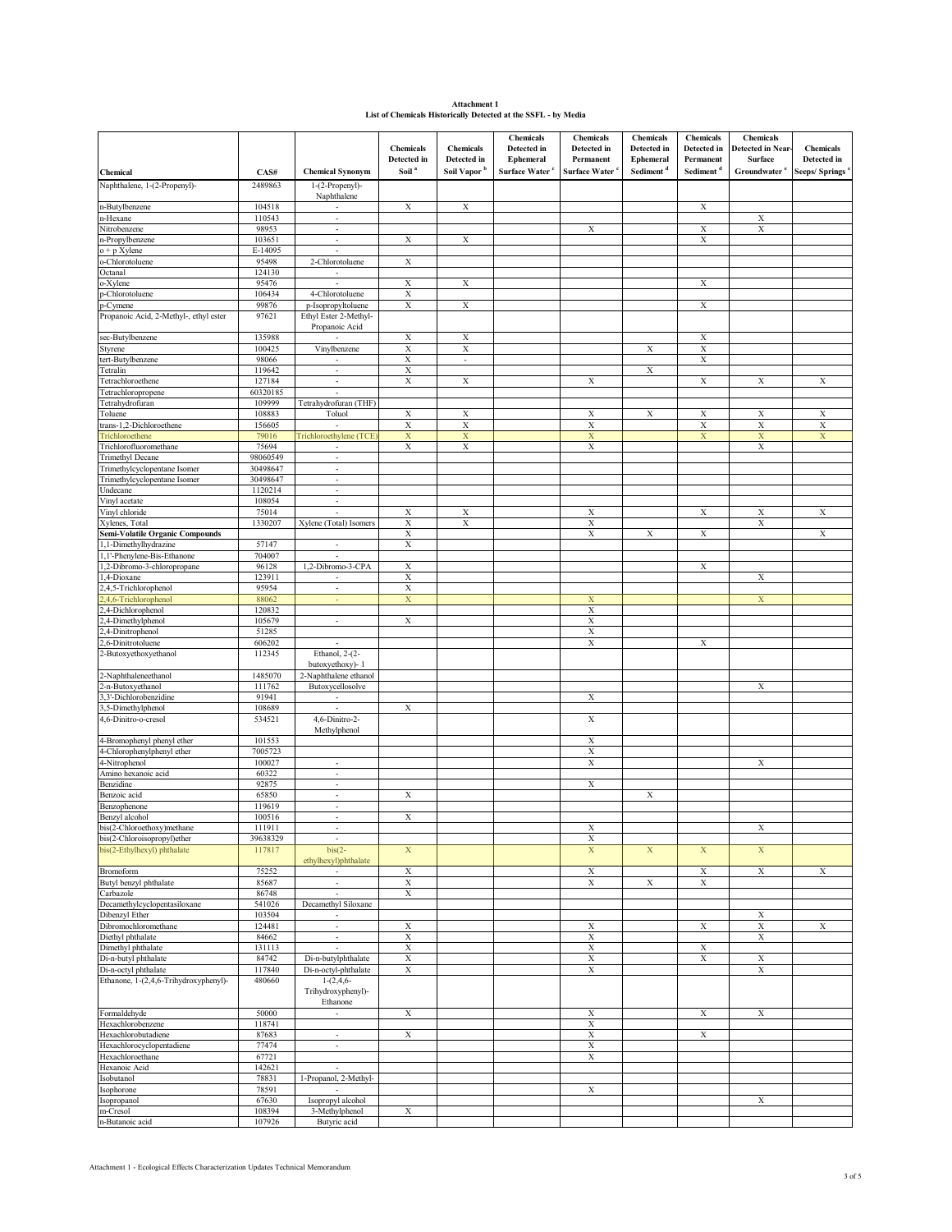| <b>Attachment 1</b>                                            |  |  |  |  |  |  |  |  |
|----------------------------------------------------------------|--|--|--|--|--|--|--|--|
| List of Chemicals Historically Detected at the SSFL - by Media |  |  |  |  |  |  |  |  |

|                                              |          |                                    |                   |                          | <b>Chemicals</b> | <b>Chemicals</b>     | <b>Chemicals</b>      | Chemicals             | Chemicals                |                      |
|----------------------------------------------|----------|------------------------------------|-------------------|--------------------------|------------------|----------------------|-----------------------|-----------------------|--------------------------|----------------------|
|                                              |          |                                    | <b>Chemicals</b>  | <b>Chemicals</b>         | Detected in      | Detected in          | Detected in           | Detected in           | Detected in Near-        | <b>Chemicals</b>     |
|                                              |          |                                    | Detected in       | Detected in              | Ephemeral        | Permanent            | Ephemeral             | Permanent             | <b>Surface</b>           | Detected in          |
| Chemical                                     | CAS#     | <b>Chemical Synonym</b>            | Soil <sup>*</sup> | Soil Vapor               | Surface Water    | <b>Surface Water</b> | Sediment <sup>d</sup> | Sediment <sup>d</sup> | Groundwater <sup>e</sup> | <b>Seeps/Springs</b> |
|                                              | 2489863  | $1-(2-Propenyl)$ -                 |                   |                          |                  |                      |                       |                       |                          |                      |
| Naphthalene, 1-(2-Propenyl)-                 |          | Naphthalene                        |                   |                          |                  |                      |                       |                       |                          |                      |
| n-Butylbenzene                               | 104518   | $\sim$                             | X                 | X                        |                  |                      |                       | X                     |                          |                      |
| -Hexane                                      | 110543   | ł,                                 |                   |                          |                  |                      |                       |                       | X                        |                      |
| Nitrobenzene                                 | 98953    | $\overline{\phantom{a}}$           |                   |                          |                  | Х                    |                       | X                     | X                        |                      |
| n-Propylbenzene                              | 103651   | $\overline{\phantom{a}}$           | X                 | X                        |                  |                      |                       | X                     |                          |                      |
| + p Xylene                                   | E-14095  | ÷,                                 |                   |                          |                  |                      |                       |                       |                          |                      |
| -Chlorotoluene                               | 95498    | 2-Chlorotoluene                    | X                 |                          |                  |                      |                       |                       |                          |                      |
|                                              | 124130   | $\sim$                             |                   |                          |                  |                      |                       |                       |                          |                      |
| Octanal                                      | 95476    |                                    | X                 | X                        |                  |                      |                       | X                     |                          |                      |
| -Xylene                                      | 106434   | 4-Chlorotoluene                    | $\mathbf X$       |                          |                  |                      |                       |                       |                          |                      |
| -Chlorotoluene                               |          |                                    |                   |                          |                  |                      |                       |                       |                          |                      |
| -Cymene                                      | 99876    | p-Isopropyltoluene                 | X                 | X                        |                  |                      |                       | X                     |                          |                      |
| Propanoic Acid, 2-Methyl-, ethyl ester       | 97621    | Ethyl Ester 2-Methyl-              |                   |                          |                  |                      |                       |                       |                          |                      |
|                                              |          | Propanoic Acid                     |                   |                          |                  |                      |                       |                       |                          |                      |
| sec-Butylbenzene                             | 135988   |                                    | X                 | X                        |                  |                      |                       | X                     |                          |                      |
| Styrene                                      | 100425   | Vinylbenzene                       | X                 | X                        |                  |                      | X                     | X                     |                          |                      |
| tert-Butylbenzene                            | 98066    | $\overline{\phantom{a}}$           | X                 | $\overline{\phantom{a}}$ |                  |                      |                       | X                     |                          |                      |
| <b>Tetralin</b>                              | 119642   | $\blacksquare$                     | X                 |                          |                  |                      | X                     |                       |                          |                      |
| <b>Tetrachloroethene</b>                     | 127184   | $\overline{\phantom{a}}$           | X                 | X                        |                  | X                    |                       | X                     | X                        | X                    |
| <b>Tetrachloropropene</b>                    | 60320185 | $\overline{\phantom{a}}$           |                   |                          |                  |                      |                       |                       |                          |                      |
| <b>Tetrahydrofuran</b>                       | 109999   | Tetrahydrofuran (THF)              |                   |                          |                  |                      |                       |                       |                          |                      |
| Toluene                                      | 108883   | Toluol                             | X                 | X                        |                  | X                    | X                     | X                     | X                        | Χ                    |
| trans-1,2-Dichloroethene                     | 156605   |                                    | X                 | X                        |                  | X                    |                       | X                     | X                        | X                    |
| <b>Trichloroethene</b>                       | 79016    | Trichloroethylene (TCE             | $\mathbf X$       | $\mathbf X$              |                  | $\mathbf X$          |                       | $\mathbf X$           | $\mathbf X$              | X                    |
| Trichlorofluoromethane                       | 75694    | $\overline{\phantom{a}}$           | X                 | X                        |                  | X                    |                       |                       | X                        |                      |
| <b>Trimethyl Decane</b>                      | 98060549 | $\blacksquare$                     |                   |                          |                  |                      |                       |                       |                          |                      |
| Trimethylcyclopentane Isomer                 | 30498647 | $\overline{\phantom{a}}$           |                   |                          |                  |                      |                       |                       |                          |                      |
| Trimethylcyclopentane Isomer                 | 30498647 | $\overline{\phantom{a}}$           |                   |                          |                  |                      |                       |                       |                          |                      |
| Jndecane                                     | 1120214  | $\overline{\phantom{a}}$           |                   |                          |                  |                      |                       |                       |                          |                      |
| Vinyl acetate                                | 108054   | $\blacksquare$                     |                   |                          |                  |                      |                       |                       |                          |                      |
| Vinyl chloride                               | 75014    | $\sim$                             | X                 | X                        |                  | X                    |                       | X                     | X                        | X                    |
| Vylenes, Total                               | 1330207  | Xylene (Total) Isomers             | X                 | X                        |                  | X                    |                       |                       | X                        |                      |
|                                              |          |                                    |                   |                          |                  |                      |                       |                       |                          |                      |
| Semi-Volatile Organic Compounds              |          |                                    | X                 |                          |                  | X                    | Х                     | X                     |                          | X                    |
| ,1-Dimethylhydrazine                         | 57147    | $\overline{\phantom{a}}$           | X                 |                          |                  |                      |                       |                       |                          |                      |
| ,1'-Phenylene-Bis-Ethanone                   | 704007   |                                    |                   |                          |                  |                      |                       |                       |                          |                      |
| ,2-Dibromo-3-chloropropane                   | 96128    | 1,2-Dibromo-3-CPA                  | X                 |                          |                  |                      |                       | X                     |                          |                      |
| ,4-Dioxane                                   | 123911   | $\overline{\phantom{a}}$           | X                 |                          |                  |                      |                       |                       | X                        |                      |
| 2,4,5-Trichlorophenol                        | 95954    | $\overline{\phantom{a}}$           | X                 |                          |                  |                      |                       |                       |                          |                      |
| 2,4,6-Trichlorophenol                        | 88062    | ÷,                                 | X                 |                          |                  | $\mathbf X$          |                       |                       | X                        |                      |
| 2,4-Dichlorophenol                           | 120832   |                                    |                   |                          |                  | X                    |                       |                       |                          |                      |
| 4-Dimethylphenol                             | 105679   | $\bar{\phantom{a}}$                | X                 |                          |                  | X                    |                       |                       |                          |                      |
| 2,4-Dinitrophenol                            | 51285    |                                    |                   |                          |                  | X                    |                       |                       |                          |                      |
| 6-Dinitrotoluene                             | 606202   |                                    |                   |                          |                  | X                    |                       | X                     |                          |                      |
| 2-Butoxyethoxyethanol                        | 112345   | Ethanol, 2-(2-                     |                   |                          |                  |                      |                       |                       |                          |                      |
|                                              |          | butoxyethoxy)-1                    |                   |                          |                  |                      |                       |                       |                          |                      |
| 2-Naphthaleneethanol                         | 1485070  | 2-Naphthalene ethanol              |                   |                          |                  |                      |                       |                       |                          |                      |
| 2-n-Butoxyethanol                            | 111762   | Butoxycellosolve                   |                   |                          |                  |                      |                       |                       | X                        |                      |
| 3,3'-Dichlorobenzidine                       | 91941    |                                    |                   |                          |                  | X                    |                       |                       |                          |                      |
| 5-Dimethylphenol                             | 108689   |                                    | Х                 |                          |                  |                      |                       |                       |                          |                      |
| 4,6-Dinitro-o-cresol                         | 534521   | 4,6-Dinitro-2-                     |                   |                          |                  | X                    |                       |                       |                          |                      |
|                                              |          | Methylphenol                       |                   |                          |                  |                      |                       |                       |                          |                      |
| 4-Bromophenyl phenyl ether                   | 101553   |                                    |                   |                          |                  | X                    |                       |                       |                          |                      |
| -Chlorophenylphenyl ether                    | 7005723  |                                    |                   |                          |                  | X                    |                       |                       |                          |                      |
| 4-Nitrophenol                                | 100027   | $\overline{\phantom{a}}$           |                   |                          |                  | X                    |                       |                       | Х                        |                      |
| Amino hexanoic acid                          | 60322    | $\overline{\phantom{a}}$           |                   |                          |                  |                      |                       |                       |                          |                      |
|                                              | 92875    |                                    |                   |                          |                  | X                    |                       |                       |                          |                      |
| Benzidine                                    |          | $\overline{\phantom{a}}$<br>$\sim$ |                   |                          |                  |                      |                       |                       |                          |                      |
| Benzoic acid                                 | 65850    |                                    | Х                 |                          |                  |                      | Х                     |                       |                          |                      |
| Benzophenone                                 | 119619   | $\overline{\phantom{a}}$           |                   |                          |                  |                      |                       |                       |                          |                      |
| Benzyl alcohol<br>bis(2-Chloroethoxy)methane | 100516   | $\overline{\phantom{a}}$           | X                 |                          |                  |                      |                       |                       |                          |                      |
|                                              | 111911   |                                    |                   |                          |                  |                      |                       |                       |                          |                      |
| bis(2-Chloroisopropyl)ether                  | 39638329 | $\sim$                             |                   |                          |                  | X                    |                       |                       |                          |                      |
| bis(2-Ethylhexyl) phthalate                  | 117817   | $bis(2 -$                          | $\mathbf X$       |                          |                  | $\mathbf X$          | $\mathbf X$           | $\mathbf X$           | $\mathbf X$              |                      |
|                                              |          | ethylhexyl)phthalate               |                   |                          |                  |                      |                       |                       |                          |                      |
| <b>Bromoform</b>                             | 75252    | $\overline{\phantom{a}}$           | X                 |                          |                  | Х                    |                       | $\mathbf X$           | $\mathbf X$              | $\mathbf X$          |
| Butyl benzyl phthalate                       | 85687    | $\overline{\phantom{a}}$           | X                 |                          |                  | $\mathbf X$          | X                     | $\mathbf X$           |                          |                      |
| Carbazole                                    | 86748    | J.                                 | $\mathbf X$       |                          |                  |                      |                       |                       |                          |                      |
| Decamethylcyclopentasiloxane                 | 541026   | Decamethyl Siloxane                |                   |                          |                  |                      |                       |                       |                          |                      |
| Dibenzyl Ether                               | 103504   | $\overline{\phantom{a}}$           |                   |                          |                  |                      |                       |                       | X                        |                      |
| Dibromochloromethane                         | 124481   | $\blacksquare$                     | $\mathbf X$       |                          |                  | X                    |                       | X                     | $\mathbf X$              | $\mathbf X$          |
| Diethyl phthalate                            | 84662    | $\overline{\phantom{a}}$           | $\mathbf X$       |                          |                  | X                    |                       |                       | X                        |                      |
| Dimethyl phthalate                           | 131113   | ÷.                                 | X                 |                          |                  | X                    |                       | $\mathbf X$           |                          |                      |
| Di-n-butyl phthalate                         | 84742    | Di-n-butylphthalate                | $\mathbf X$       |                          |                  | $\mathbf X$          |                       | $\mathbf X$           | $\mathbf X$              |                      |
| Di-n-octyl phthalate                         | 117840   | Di-n-octyl-phthalate               | X                 |                          |                  | X                    |                       |                       | X                        |                      |
| Ethanone, 1-(2,4,6-Trihydroxyphenyl)-        | 480660   | $1-(2,4,6-$                        |                   |                          |                  |                      |                       |                       |                          |                      |
|                                              |          | Trihydroxyphenyl)-<br>Ethanone     |                   |                          |                  |                      |                       |                       |                          |                      |
| Formaldehyde                                 | 50000    | $\overline{\phantom{a}}$           | $\mathbf X$       |                          |                  | X                    |                       | $\mathbf X$           | $\mathbf X$              |                      |
| Hexachlorobenzene                            | 118741   |                                    |                   |                          |                  | $\mathbf X$          |                       |                       |                          |                      |
|                                              | 87683    |                                    |                   |                          |                  | X                    |                       | $\mathbf X$           |                          |                      |
| Hexachlorobutadiene                          |          | $\overline{\phantom{a}}$           | X                 |                          |                  |                      |                       |                       |                          |                      |
| Hexachlorocyclopentadiene                    | 77474    | $\overline{\phantom{a}}$           |                   |                          |                  | X                    |                       |                       |                          |                      |
| Hexachloroethane                             | 67721    |                                    |                   |                          |                  | X                    |                       |                       |                          |                      |
| Hexanoic Acid                                | 142621   |                                    |                   |                          |                  |                      |                       |                       |                          |                      |
| Isobutanol                                   | 78831    | 1-Propanol, 2-Methyl-              |                   |                          |                  |                      |                       |                       |                          |                      |
| Isophorone                                   | 78591    |                                    |                   |                          |                  | X                    |                       |                       |                          |                      |
| Isopropanol                                  | 67630    | Isopropyl alcohol                  |                   |                          |                  |                      |                       |                       | $\mathbf X$              |                      |
| m-Cresol                                     | 108394   | 3-Methylphenol                     | X                 |                          |                  |                      |                       |                       |                          |                      |
| n-Butanoic acid                              | 107926   | Butyric acid                       |                   |                          |                  |                      |                       |                       |                          |                      |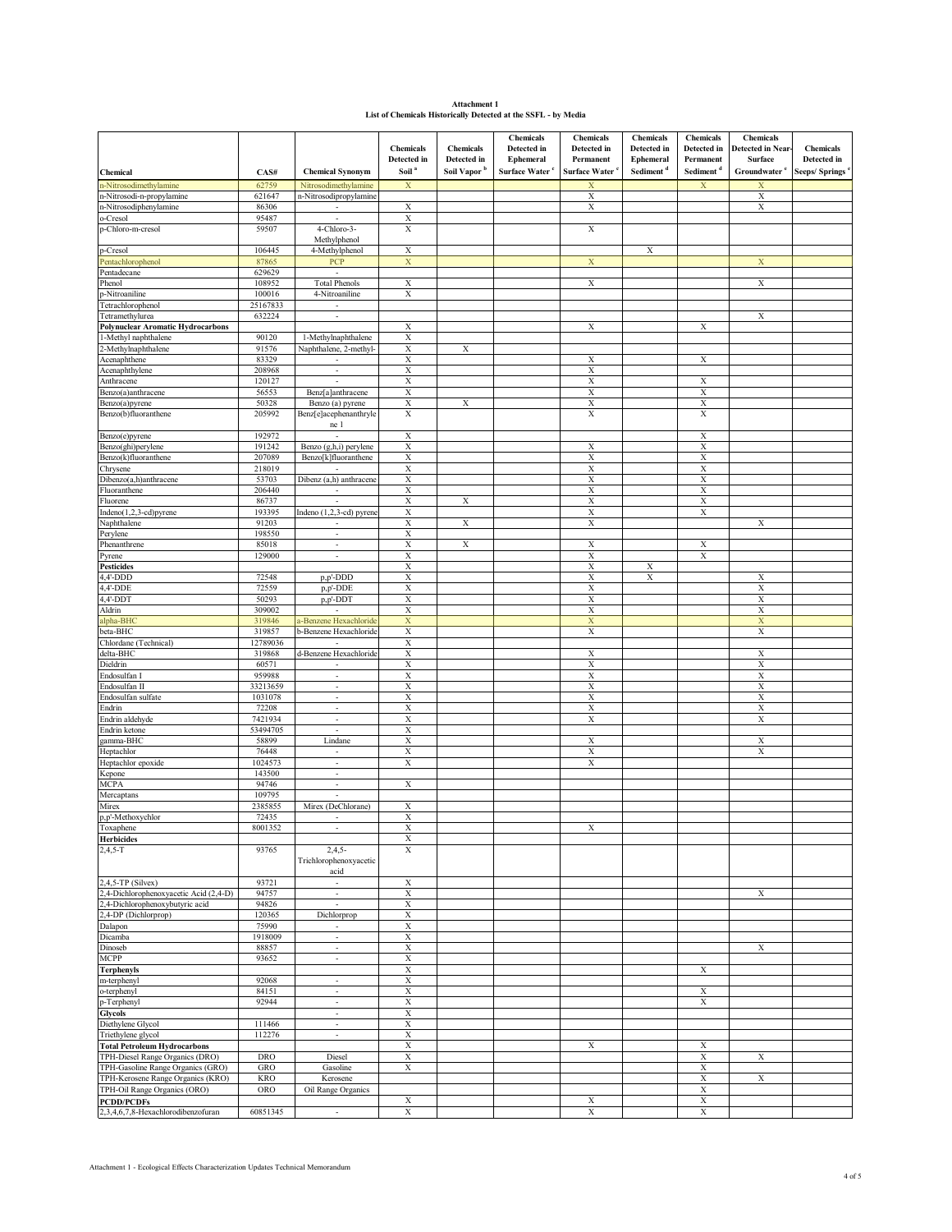| <b>Attachment 1</b>                                            |  |  |  |  |  |  |  |  |
|----------------------------------------------------------------|--|--|--|--|--|--|--|--|
| List of Chemicals Historically Detected at the SSFL - by Media |  |  |  |  |  |  |  |  |

|                                          |            |                          |                           |                         | <b>Chemicals</b>           | <b>Chemicals</b>          | <b>Chemicals</b>      | Chemicals             | <b>Chemicals</b>          |                  |
|------------------------------------------|------------|--------------------------|---------------------------|-------------------------|----------------------------|---------------------------|-----------------------|-----------------------|---------------------------|------------------|
|                                          |            |                          | <b>Chemicals</b>          | <b>Chemicals</b>        | Detected in                | Detected in               | Detected in           | Detected in           | Detected in Near-         | <b>Chemicals</b> |
|                                          |            |                          | Detected in               | Detected in             | <b>Ephemeral</b>           | Permanent                 | <b>Ephemeral</b>      | Permanent             | Surface                   | Detected in      |
|                                          | CAS#       | <b>Chemical Synonym</b>  | Soil <sup>*</sup>         | Soil Vapor <sup>b</sup> | Surface Water <sup>c</sup> | <b>Surface Water</b>      | Sediment <sup>d</sup> | Sediment <sup>d</sup> | Groundwater <sup>e</sup>  | Seeps/Springs    |
| Chemical                                 |            |                          |                           |                         |                            |                           |                       |                       |                           |                  |
| n-Nitrosodimethylamine                   | 62759      | Nitrosodimethylamine     | X                         |                         |                            | х                         |                       | Х                     | X                         |                  |
| n-Nitrosodi-n-propylamine                | 621647     | n-Nitrosodipropylamine   |                           |                         |                            | $\mathbf X$               |                       |                       | $\mathbf X$               |                  |
| n-Nitrosodiphenylamine                   | 86306      | $\overline{\phantom{a}}$ | X                         |                         |                            | X                         |                       |                       | X                         |                  |
| o-Cresol                                 | 95487      | $\overline{\phantom{a}}$ | X                         |                         |                            |                           |                       |                       |                           |                  |
| p-Chloro-m-cresol                        | 59507      | 4-Chloro-3-              | X                         |                         |                            | X                         |                       |                       |                           |                  |
|                                          |            | Methylphenol             |                           |                         |                            |                           |                       |                       |                           |                  |
| p-Cresol                                 | 106445     | 4-Methylphenol           | X                         |                         |                            |                           | X                     |                       |                           |                  |
| Pentachlorophenol                        | 87865      | <b>PCP</b>               | $\mathbf X$               |                         |                            | X                         |                       |                       | $\mathbf X$               |                  |
| Pentadecane                              | 629629     |                          |                           |                         |                            |                           |                       |                       |                           |                  |
| Phenol                                   | 108952     | <b>Total Phenols</b>     | Х                         |                         |                            | X                         |                       |                       | X                         |                  |
| p-Nitroaniline                           | 100016     | 4-Nitroaniline           | X                         |                         |                            |                           |                       |                       |                           |                  |
| Tetrachlorophenol                        | 25167833   | $\overline{\phantom{a}}$ |                           |                         |                            |                           |                       |                       |                           |                  |
| Tetramethylurea                          | 632224     | $\overline{\phantom{a}}$ |                           |                         |                            |                           |                       |                       | X                         |                  |
| <b>Polynuclear Aromatic Hydrocarbons</b> |            |                          | X                         |                         |                            | X                         |                       | X                     |                           |                  |
| 1-Methyl naphthalene                     | 90120      | 1-Methylnaphthalene      | X                         |                         |                            |                           |                       |                       |                           |                  |
| 2-Methylnaphthalene                      | 91576      | Naphthalene, 2-methyl-   | X                         | Х                       |                            |                           |                       |                       |                           |                  |
| Acenaphthene                             | 83329      |                          | X                         |                         |                            | X                         |                       | X                     |                           |                  |
| Acenaphthylene                           | 208968     | $\overline{\phantom{a}}$ | X                         |                         |                            | Х                         |                       |                       |                           |                  |
| Anthracene                               | 120127     | $\overline{\phantom{a}}$ | X                         |                         |                            | Х                         |                       | Х                     |                           |                  |
| Benzo(a)anthracene                       | 56553      | Benz[a]anthracene        | X                         |                         |                            | X                         |                       | X                     |                           |                  |
| Benzo(a)pyrene                           | 50328      | Benzo (a) pyrene         | X                         | X                       |                            | X                         |                       | X                     |                           |                  |
| Benzo(b)fluoranthene                     | 205992     | Benz[e]acephenanthryle   | X                         |                         |                            | X                         |                       | X                     |                           |                  |
|                                          |            | ne 1                     |                           |                         |                            |                           |                       |                       |                           |                  |
| Benzo(e)pyrene                           | 192972     |                          | X                         |                         |                            |                           |                       | Х                     |                           |                  |
| Benzo(ghi)perylene                       |            | Benzo (g,h,i) perylene   |                           |                         |                            |                           |                       |                       |                           |                  |
|                                          | 191242     |                          | X                         |                         |                            | Х                         |                       | X                     |                           |                  |
| Benzo(k)fluoranthene                     | 207089     | Benzo[k]fluoranthene     | X                         |                         |                            | X                         |                       | X                     |                           |                  |
| Chrysene                                 | 218019     |                          | X                         |                         |                            | X                         |                       | X                     |                           |                  |
| Dibenzo(a,h)anthracene                   | 53703      | Dibenz (a,h) anthracene  | X                         |                         |                            | Х                         |                       | X                     |                           |                  |
| Fluoranthene                             | 206440     |                          | X                         |                         |                            | X                         |                       | X                     |                           |                  |
| Fluorene                                 | 86737      |                          | X                         | Х                       |                            | X                         |                       | X                     |                           |                  |
| $Indeno(1,2,3-cd)pyrene$                 | 193395     | Indeno (1,2,3-cd) pyrene | X                         |                         |                            | Х                         |                       | X                     |                           |                  |
| Naphthalene                              | 91203      |                          | X                         | X                       |                            | X                         |                       |                       | X                         |                  |
| Perylene                                 | 198550     | $\overline{\phantom{a}}$ | X                         |                         |                            |                           |                       |                       |                           |                  |
| Phenanthrene                             | 85018      | $\overline{\phantom{a}}$ | X                         | X                       |                            | Х                         |                       | Х                     |                           |                  |
| Pyrene                                   | 129000     | $\overline{\phantom{a}}$ | X                         |                         |                            | X                         |                       | X                     |                           |                  |
| <b>Pesticides</b>                        |            |                          | X                         |                         |                            | X                         | Х                     |                       |                           |                  |
| 4,4'-DDD                                 | 72548      | p,p'-DDD                 | X                         |                         |                            | Х                         | Х                     |                       | X                         |                  |
| 4,4'-DDE                                 | 72559      | p,p'-DDE                 | X                         |                         |                            | X                         |                       |                       | X                         |                  |
| $4,4'$ -DDT                              | 50293      | p,p'-DDT                 | X                         |                         |                            | X                         |                       |                       | X                         |                  |
| Aldrin                                   | 309002     | $\overline{\phantom{a}}$ | X                         |                         |                            | X                         |                       |                       | X                         |                  |
| alpha-BHC                                | 319846     | a-Benzene Hexachloride   | X                         |                         |                            | $\boldsymbol{\mathrm{X}}$ |                       |                       | $\boldsymbol{\mathrm{X}}$ |                  |
| beta-BHC                                 | 319857     | b-Benzene Hexachloride   | Х                         |                         |                            | X                         |                       |                       | Χ                         |                  |
| Chlordane (Technical)                    | 12789036   | ×                        | X                         |                         |                            |                           |                       |                       |                           |                  |
| delta-BHC                                | 319868     | d-Benzene Hexachloride   | X                         |                         |                            | X                         |                       |                       | X                         |                  |
| Dieldrin                                 | 60571      | $\overline{\phantom{a}}$ | X                         |                         |                            | X                         |                       |                       | X                         |                  |
| Endosulfan I                             | 959988     | $\overline{\phantom{a}}$ | X                         |                         |                            | Х                         |                       |                       | X                         |                  |
| Endosulfan II                            | 33213659   | ÷.                       | X                         |                         |                            | X                         |                       |                       | X                         |                  |
| Endosulfan sulfate                       | 1031078    | $\overline{\phantom{a}}$ | Х                         |                         |                            | X                         |                       |                       | X                         |                  |
| Endrin                                   | 72208      | $\overline{\phantom{a}}$ | X                         |                         |                            | Х                         |                       |                       | X                         |                  |
| Endrin aldehyde                          | 7421934    | ÷,                       | X                         |                         |                            | X                         |                       |                       | X                         |                  |
| Endrin ketone                            | 53494705   | $\overline{\phantom{a}}$ | X                         |                         |                            |                           |                       |                       |                           |                  |
| gamma-BHC                                |            |                          |                           |                         |                            |                           |                       |                       |                           |                  |
|                                          | 58899      | Lindane                  | X                         |                         |                            | Х                         |                       |                       | X                         |                  |
| Heptachlor                               | 76448      |                          | X                         |                         |                            | X                         |                       |                       | X                         |                  |
| Heptachlor epoxide                       | 1024573    | $\overline{\phantom{a}}$ | Х                         |                         |                            | X                         |                       |                       |                           |                  |
| Kepone                                   | 143500     | $\sim$                   |                           |                         |                            |                           |                       |                       |                           |                  |
| MCPA                                     | 94746      | ÷,                       | X                         |                         |                            |                           |                       |                       |                           |                  |
| Mercaptans                               | 109795     | ÷,                       |                           |                         |                            |                           |                       |                       |                           |                  |
| Mirex                                    | 2385855    | Mirex (DeChlorane)       | X                         |                         |                            |                           |                       |                       |                           |                  |
| p,p'-Methoxychlor                        | 72435      |                          | X                         |                         |                            |                           |                       |                       |                           |                  |
| I oxaphene                               | 8001352    |                          | A                         |                         |                            | л                         |                       |                       |                           |                  |
| <b>Herbicides</b>                        |            |                          | X                         |                         |                            |                           |                       |                       |                           |                  |
| $2,4,5-T$                                | 93765      | $2,4,5-$                 | X                         |                         |                            |                           |                       |                       |                           |                  |
|                                          |            | Trichlorophenoxyacetic   |                           |                         |                            |                           |                       |                       |                           |                  |
|                                          |            | acid                     |                           |                         |                            |                           |                       |                       |                           |                  |
| $2,4,5$ -TP (Silvex)                     | 93721      |                          | X                         |                         |                            |                           |                       |                       |                           |                  |
| 2,4-Dichlorophenoxyacetic Acid (2,4-D)   | 94757      | $\overline{\phantom{a}}$ | $\mathbf X$               |                         |                            |                           |                       |                       | X                         |                  |
| 2,4-Dichlorophenoxybutyric acid          | 94826      | $\sim$                   | X                         |                         |                            |                           |                       |                       |                           |                  |
| 2,4-DP (Dichlorprop)                     | 120365     | Dichlorprop              | X                         |                         |                            |                           |                       |                       |                           |                  |
| Dalapon                                  | 75990      | $\overline{\phantom{a}}$ | $\mathbf X$               |                         |                            |                           |                       |                       |                           |                  |
| Dicamba                                  | 1918009    | $\sim$                   | Х                         |                         |                            |                           |                       |                       |                           |                  |
| Dinoseb                                  | 88857      | $\sim$                   | X                         |                         |                            |                           |                       |                       | X                         |                  |
| MCPP                                     | 93652      | $\overline{\phantom{a}}$ | $\mathbf X$               |                         |                            |                           |                       |                       |                           |                  |
| <b>Terphenyls</b>                        |            |                          | X                         |                         |                            |                           |                       | X                     |                           |                  |
| m-terphenyl                              | 92068      | ÷.                       | X                         |                         |                            |                           |                       |                       |                           |                  |
| o-terphenyl                              | 84151      | $\overline{\phantom{a}}$ | $\mathbf X$               |                         |                            |                           |                       | $\mathbf X$           |                           |                  |
| p-Terphenyl                              | 92944      | $\overline{\phantom{a}}$ | Х                         |                         |                            |                           |                       | X                     |                           |                  |
| <b>Glycols</b>                           |            | $\sim$                   | X                         |                         |                            |                           |                       |                       |                           |                  |
| Diethylene Glycol                        |            |                          |                           |                         |                            |                           |                       |                       |                           |                  |
|                                          | 111466     | $\overline{\phantom{a}}$ | $\mathbf X$               |                         |                            |                           |                       |                       |                           |                  |
| Triethylene glycol                       | 112276     | $\overline{\phantom{a}}$ | X                         |                         |                            |                           |                       |                       |                           |                  |
| <b>Total Petroleum Hydrocarbons</b>      |            |                          | X                         |                         |                            | X                         |                       | X                     |                           |                  |
| TPH-Diesel Range Organics (DRO)          | <b>DRO</b> | Diesel                   | $\mathbf X$               |                         |                            |                           |                       | $\mathbf X$           | $\mathbf X$               |                  |
| TPH-Gasoline Range Organics (GRO)        | GRO        | Gasoline                 | X                         |                         |                            |                           |                       | X                     |                           |                  |
| TPH-Kerosene Range Organics (KRO)        | <b>KRO</b> | Kerosene                 |                           |                         |                            |                           |                       | X                     | X                         |                  |
| TPH-Oil Range Organics (ORO)             | <b>ORO</b> | Oil Range Organics       |                           |                         |                            |                           |                       | X                     |                           |                  |
| <b>PCDD/PCDFs</b>                        |            |                          | Х                         |                         |                            | X                         |                       | X                     |                           |                  |
| 2,3,4,6,7,8-Hexachlorodibenzofuran       | 60851345   |                          | $\boldsymbol{\mathrm{X}}$ |                         |                            | $\overline{X}$            |                       | X                     |                           |                  |